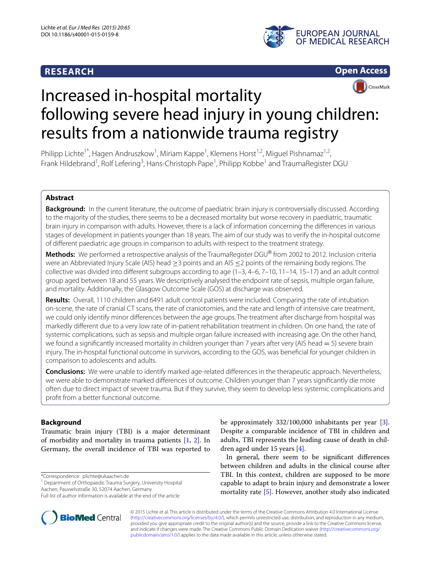# **RESEARCH**





# CrossMark Increased in-hospital mortality following severe head injury in young children: results from a nationwide trauma registry

Philipp Lichte<sup>1\*</sup>, Hagen Andruszkow<sup>1</sup>, Miriam Kappe<sup>1</sup>, Klemens Horst<sup>1,2</sup>, Miguel Pishnamaz<sup>1,2</sup>, Frank Hildebrand<sup>1</sup>, Rolf Lefering<sup>3</sup>, Hans-Christoph Pape<sup>1</sup>, Philipp Kobbe<sup>1</sup> and TraumaRegister DGU

# **Abstract**

**Background:** In the current literature, the outcome of paediatric brain injury is controversially discussed. According to the majority of the studies, there seems to be a decreased mortality but worse recovery in paediatric, traumatic brain injury in comparison with adults. However, there is a lack of information concerning the differences in various stages of development in patients younger than 18 years. The aim of our study was to verify the in-hospital outcome of different paediatric age groups in comparison to adults with respect to the treatment strategy.

**Methods:** We performed a retrospective analysis of the TraumaRegister DGU® from 2002 to 2012. Inclusion criteria were an Abbreviated Injury Scale (AIS) head > 3 points and an AIS < 2 points of the remaining body regions. The collective was divided into different subgroups according to age (1–3, 4–6, 7–10, 11–14, 15–17) and an adult control group aged between 18 and 55 years. We descriptively analysed the endpoint rate of sepsis, multiple organ failure, and mortality. Additionally, the Glasgow Outcome Scale (GOS) at discharge was observed.

**Results:** Overall, 1110 children and 6491 adult control patients were included. Comparing the rate of intubation on-scene, the rate of cranial CT scans, the rate of craniotomies, and the rate and length of intensive care treatment, we could only identify minor differences between the age groups. The treatment after discharge from hospital was markedly different due to a very low rate of in-patient rehabilitation treatment in children. On one hand, the rate of systemic complications, such as sepsis and multiple organ failure increased with increasing age. On the other hand, we found a significantly increased mortality in children younger than 7 years after very (AIS head  $= 5$ ) severe brain injury. The in-hospital functional outcome in survivors, according to the GOS, was beneficial for younger children in comparison to adolescents and adults.

**Conclusions:** We were unable to identify marked age-related differences in the therapeutic approach. Nevertheless, we were able to demonstrate marked differences of outcome. Children younger than 7 years significantly die more often due to direct impact of severe trauma. But if they survive, they seem to develop less systemic complications and profit from a better functional outcome.

# **Background**

Traumatic brain injury (TBI) is a major determinant of morbidity and mortality in trauma patients [\[1,](#page-6-0) [2\]](#page-6-1). In Germany, the overall incidence of TBI was reported to

\*Correspondence: plichte@ukaachen.de

<sup>1</sup> Department of Orthopaedic Trauma Surgery, University Hospital Aachen, Pauwelsstraße 30, 52074 Aachen, Germany



In general, there seem to be significant differences between children and adults in the clinical course after TBI. In this context, children are supposed to be more capable to adapt to brain injury and demonstrate a lower mortality rate [\[5](#page-6-4)]. However, another study also indicated



**BioMed Central** 

Full list of author information is available at the end of the article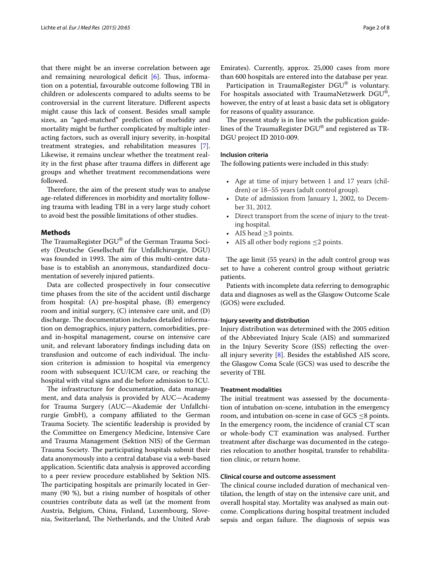that there might be an inverse correlation between age and remaining neurological deficit [\[6\]](#page-6-5). Thus, information on a potential, favourable outcome following TBI in children or adolescents compared to adults seems to be controversial in the current literature. Different aspects might cause this lack of consent. Besides small sample sizes, an "aged-matched" prediction of morbidity and mortality might be further complicated by multiple interacting factors, such as overall injury severity, in-hospital treatment strategies, and rehabilitation measures [\[7](#page-6-6)]. Likewise, it remains unclear whether the treatment reality in the first phase after trauma differs in different age groups and whether treatment recommendations were followed.

Therefore, the aim of the present study was to analyse age-related differences in morbidity and mortality following trauma with leading TBI in a very large study cohort to avoid best the possible limitations of other studies.

### **Methods**

The TraumaRegister DGU® of the German Trauma Society (Deutsche Gesellschaft für Unfallchirurgie, DGU) was founded in 1993. The aim of this multi-centre database is to establish an anonymous, standardized documentation of severely injured patients.

Data are collected prospectively in four consecutive time phases from the site of the accident until discharge from hospital: (A) pre-hospital phase, (B) emergency room and initial surgery, (C) intensive care unit, and (D) discharge. The documentation includes detailed information on demographics, injury pattern, comorbidities, preand in-hospital management, course on intensive care unit, and relevant laboratory findings including data on transfusion and outcome of each individual. The inclusion criterion is admission to hospital via emergency room with subsequent ICU/ICM care, or reaching the hospital with vital signs and die before admission to ICU.

The infrastructure for documentation, data management, and data analysis is provided by AUC—Academy for Trauma Surgery (AUC—Akademie der Unfallchirurgie GmbH), a company affiliated to the German Trauma Society. The scientific leadership is provided by the Committee on Emergency Medicine, Intensive Care and Trauma Management (Sektion NIS) of the German Trauma Society. The participating hospitals submit their data anonymously into a central database via a web-based application. Scientific data analysis is approved according to a peer review procedure established by Sektion NIS. The participating hospitals are primarily located in Germany (90 %), but a rising number of hospitals of other countries contribute data as well (at the moment from Austria, Belgium, China, Finland, Luxembourg, Slovenia, Switzerland, The Netherlands, and the United Arab

Emirates). Currently, approx. 25,000 cases from more than 600 hospitals are entered into the database per year.

Participation in TraumaRegister DGU® is voluntary. For hospitals associated with TraumaNetzwerk DGU®, however, the entry of at least a basic data set is obligatory for reasons of quality assurance.

The present study is in line with the publication guidelines of the TraumaRegister DGU® and registered as TR-DGU project ID 2010-009.

# **Inclusion criteria**

The following patients were included in this study:

- Age at time of injury between 1 and 17 years (children) or 18–55 years (adult control group).
- •• Date of admission from January 1, 2002, to December 31, 2012.
- •• Direct transport from the scene of injury to the treating hospital.
- AIS head  $\geq$ 3 points.
- AIS all other body regions  $\leq$  2 points.

The age limit (55 years) in the adult control group was set to have a coherent control group without geriatric patients.

Patients with incomplete data referring to demographic data and diagnoses as well as the Glasgow Outcome Scale (GOS) were excluded.

### **Injury severity and distribution**

Injury distribution was determined with the 2005 edition of the Abbreviated Injury Scale (AIS) and summarized in the Injury Severity Score (ISS) reflecting the overall injury severity [\[8](#page-6-7)]. Besides the established AIS score, the Glasgow Coma Scale (GCS) was used to describe the severity of TBI.

# **Treatment modalities**

The initial treatment was assessed by the documentation of intubation on-scene, intubation in the emergency room, and intubation on-scene in case of  $GCS \leq 8$  points. In the emergency room, the incidence of cranial CT scan or whole-body CT examination was analysed. Further treatment after discharge was documented in the categories relocation to another hospital, transfer to rehabilitation clinic, or return home.

# **Clinical course and outcome assessment**

The clinical course included duration of mechanical ventilation, the length of stay on the intensive care unit, and overall hospital stay. Mortality was analysed as main outcome. Complications during hospital treatment included sepsis and organ failure. The diagnosis of sepsis was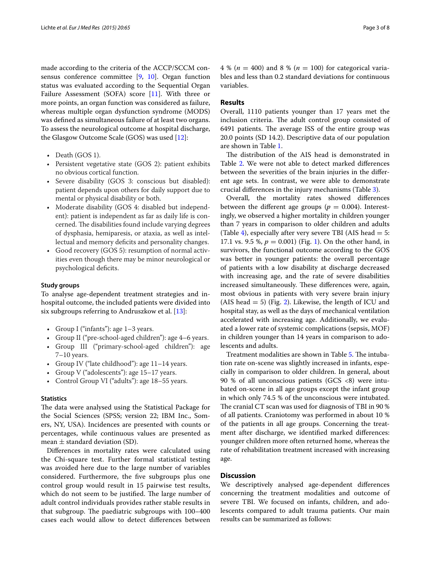made according to the criteria of the ACCP/SCCM consensus conference committee [\[9](#page-6-8), [10\]](#page-6-9). Organ function status was evaluated according to the Sequential Organ Failure Assessment (SOFA) score [[11\]](#page-6-10). With three or more points, an organ function was considered as failure, whereas multiple organ dysfunction syndrome (MODS) was defined as simultaneous failure of at least two organs. To assess the neurological outcome at hospital discharge, the Glasgow Outcome Scale (GOS) was used [[12\]](#page-6-11):

- Death (GOS 1).
- •• Persistent vegetative state (GOS 2): patient exhibits no obvious cortical function.
- •• Severe disability (GOS 3: conscious but disabled): patient depends upon others for daily support due to mental or physical disability or both.
- •• Moderate disability (GOS 4: disabled but independent): patient is independent as far as daily life is concerned. The disabilities found include varying degrees of dysphasia, hemiparesis, or ataxia, as well as intellectual and memory deficits and personality changes.
- Good recovery (GOS 5): resumption of normal activities even though there may be minor neurological or psychological deficits.

# **Study groups**

To analyse age-dependent treatment strategies and inhospital outcome, the included patients were divided into six subgroups referring to Andruszkow et al. [\[13\]](#page-6-12):

- Group I ("infants"): age 1–3 years.
- •• Group II ("pre-school-aged children"): age 4–6 years.
- •• Group III ("primary-school-aged children"): age 7–10 years.
- Group IV ("late childhood"): age 11–14 years.
- Group V ("adolescents"): age 15–17 years.
- •• Control Group VI ("adults"): age 18–55 years.

# **Statistics**

The data were analysed using the Statistical Package for the Social Sciences (SPSS; version 22; IBM Inc., Somers, NY, USA). Incidences are presented with counts or percentages, while continuous values are presented as mean  $\pm$  standard deviation (SD).

Differences in mortality rates were calculated using the Chi-square test. Further formal statistical testing was avoided here due to the large number of variables considered. Furthermore, the five subgroups plus one control group would result in 15 pairwise test results, which do not seem to be justified. The large number of adult control individuals provides rather stable results in that subgroup. The paediatric subgroups with 100–400 cases each would allow to detect differences between 4 % (*n* = 400) and 8 % (*n* = 100) for categorical variables and less than 0.2 standard deviations for continuous variables.

# **Results**

Overall, 1110 patients younger than 17 years met the inclusion criteria. The adult control group consisted of 6491 patients. The average ISS of the entire group was 20.0 points (SD 14.2). Descriptive data of our population are shown in Table [1.](#page-3-0)

The distribution of the AIS head is demonstrated in Table [2](#page-3-1). We were not able to detect marked differences between the severities of the brain injuries in the different age sets. In contrast, we were able to demonstrate crucial differences in the injury mechanisms (Table [3](#page-3-2)).

Overall, the mortality rates showed differences between the different age groups ( $p = 0.004$ ). Interestingly, we observed a higher mortality in children younger than 7 years in comparison to older children and adults (Table [4\)](#page-3-3), especially after very severe TBI (AIS head  $= 5$ : 17.1 vs. 9.5 %,  $p = 0.001$ ) (Fig. [1\)](#page-4-0). On the other hand, in survivors, the functional outcome according to the GOS was better in younger patients: the overall percentage of patients with a low disability at discharge decreased with increasing age, and the rate of severe disabilities increased simultaneously. These differences were, again, most obvious in patients with very severe brain injury (AIS head  $= 5$ ) (Fig. [2](#page-4-1)). Likewise, the length of ICU and hospital stay, as well as the days of mechanical ventilation accelerated with increasing age. Additionally, we evaluated a lower rate of systemic complications (sepsis, MOF) in children younger than 14 years in comparison to adolescents and adults.

Treatment modalities are shown in Table [5.](#page-4-2) The intubation rate on-scene was slightly increased in infants, especially in comparison to older children. In general, about 90 % of all unconscious patients (GCS  $\langle 8 \rangle$ ) were intubated on-scene in all age groups except the infant group in which only 74.5 % of the unconscious were intubated. The cranial CT scan was used for diagnosis of TBI in 90 % of all patients. Craniotomy was performed in about 10 % of the patients in all age groups. Concerning the treatment after discharge, we identified marked differences: younger children more often returned home, whereas the rate of rehabilitation treatment increased with increasing age.

# **Discussion**

We descriptively analysed age-dependent differences concerning the treatment modalities and outcome of severe TBI. We focused on infants, children, and adolescents compared to adult trauma patients. Our main results can be summarized as follows: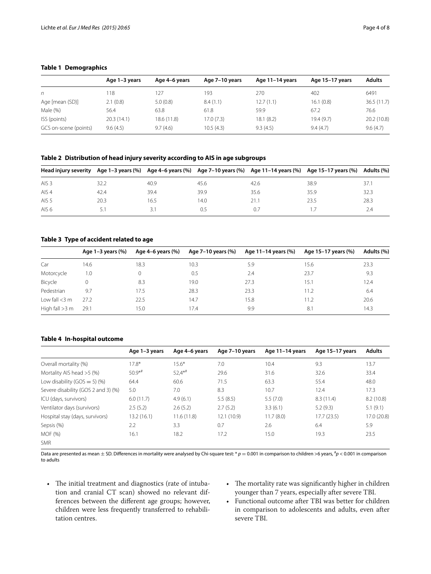# <span id="page-3-0"></span>**Table 1 Demographics**

|                       | Age 1-3 years | Age 4–6 years | Age 7-10 years | Age 11-14 years | Age 15-17 years | <b>Adults</b> |
|-----------------------|---------------|---------------|----------------|-----------------|-----------------|---------------|
| n                     | 18            | 127           | 193            | 270             | 402             | 6491          |
| Age [mean (SD)]       | 2.1(0.8)      | 5.0(0.8)      | 8.4(1.1)       | 12.7(1.1)       | 16.1(0.8)       | 36.5(11.7)    |
| Male (%)              | 56.4          | 63.8          | 61.8           | 59.9            | 67.2            | 76.6          |
| ISS (points)          | 20.3(14.1)    | 18.6(11.8)    | 17.0(7.3)      | 18.1(8.2)       | 19.4(9.7)       | 20.2 (10.8)   |
| GCS on-scene (points) | 9.6(4.5)      | 9.7(4.6)      | 10.5(4.3)      | 9.3(4.5)        | 9.4(4.7)        | 9.6(4.7)      |

# <span id="page-3-1"></span>**Table 2 Distribution of head injury severity according to AIS in age subgroups**

|                  |      |      |      |      | Head injury severity Age 1-3 years (%) Age 4-6 years (%) Age 7-10 years (%) Age 11-14 years (%) Age 15-17 years (%) Adults (%) |      |
|------------------|------|------|------|------|--------------------------------------------------------------------------------------------------------------------------------|------|
| AIS <sub>3</sub> | 32.2 | 40.9 | 45.6 | 42.6 | 38.9                                                                                                                           | 37.1 |
| AIS <sub>4</sub> | 42.4 | 39.4 | 39.9 | 35.6 | 35.9                                                                                                                           | 32.3 |
| AIS <sub>5</sub> | 20.3 | 16.5 | 14.0 | 21.1 | 23.5                                                                                                                           | 28.3 |
| AIS 6            | 51   | 3.1  | 0.5  | 0.7  |                                                                                                                                | 2.4  |

# <span id="page-3-2"></span>**Table 3 Type of accident related to age**

|                  | Age $1-3$ years $(\%)$ | Age 4–6 years (%) | Age 7-10 years (%) | Age 11–14 years (%) | Age 15–17 years (%) | Adults (%) |
|------------------|------------------------|-------------------|--------------------|---------------------|---------------------|------------|
| Car              | 14.6                   | 18.3              | 10.3               | 5.9                 | 15.6                | 23.3       |
| Motorcycle       | 1.0                    |                   | 0.5                | 2.4                 | 23.7                | 9.3        |
| Bicycle          | $\Omega$               | 8.3               | 19.0               | 27.3                | 15.1                | 12.4       |
| Pedestrian       | 9.7                    | 17.5              | 28.3               | 23.3                | 11.2                | 6.4        |
| Low fall $<$ 3 m | 27.2                   | 22.5              | 14.7               | 15.8                | 11.2                | 20.6       |
| High fall $>3$ m | 29.1                   | 15.0              | 17.4               | 9.9                 | 8.1                 | 14.3       |

# <span id="page-3-3"></span>**Table 4 In-hospital outcome**

|                                     | Age 1-3 years | Age 4–6 years | Age 7-10 years | Age 11-14 years | Age 15-17 years | <b>Adults</b> |
|-------------------------------------|---------------|---------------|----------------|-----------------|-----------------|---------------|
| Overall mortality (%)               | $17.8*$       | $15.6*$       | 7.0            | 10.4            | 9.3             | 13.7          |
| Mortality AIS head >5 (%)           | $50.9**$      | $52.4**$      | 29.6           | 31.6            | 32.6            | 33.4          |
| Low disability (GOS = 5) (%)        | 64.4          | 60.6          | 71.5           | 63.3            | 55.4            | 48.0          |
| Severe disability (GOS 2 and 3) (%) | 5.0           | 7.0           | 8.3            | 10.7            | 12.4            | 17.3          |
| ICU (days, survivors)               | 6.0(11.7)     | 4.9(6.1)      | 5.5(8.5)       | 5.5(7.0)        | 8.3(11.4)       | 8.2(10.8)     |
| Ventilator days (survivors)         | 2.5(5.2)      | 2.6(5.2)      | 2.7(5.2)       | 3.3(6.1)        | 5.2(9.3)        | 5.1(9.1)      |
| Hospital stay (days, survivors)     | 13.2(16.1)    | 11.6(11.8)    | 12.1 (10.9)    | 11.7(8.0)       | 17.7(23.5)      | 17.0 (20.8)   |
| Sepsis (%)                          | 2.2           | 3.3           | 0.7            | 2.6             | 6.4             | 5.9           |
| MOF (%)                             | 16.1          | 18.2          | 17.2           | 15.0            | 19.3            | 23.5          |
| <b>SMR</b>                          |               |               |                |                 |                 |               |

Data are presented as mean ± SD. Differences in mortality were analysed by Chi-square test: \* *<sup>p</sup>* <sup>=</sup> 0.001 in comparison to children >6 years, # *p* < 0.001 in comparison to adults

- •• The initial treatment and diagnostics (rate of intubation and cranial CT scan) showed no relevant differences between the different age groups; however, children were less frequently transferred to rehabilitation centres.
- •• The mortality rate was significantly higher in children younger than 7 years, especially after severe TBI.
- •• Functional outcome after TBI was better for children in comparison to adolescents and adults, even after severe TBI.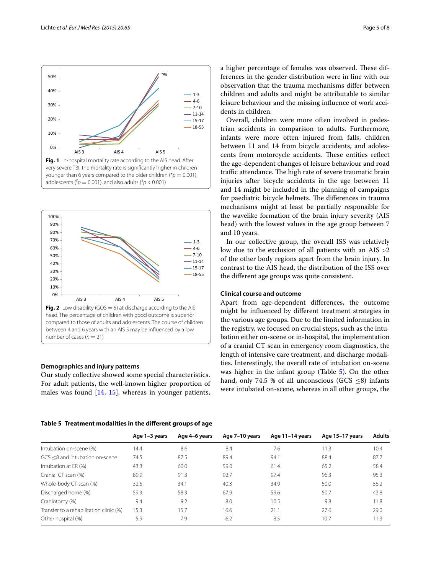<span id="page-4-0"></span>adolescents ( $^{\#}p = 0.001$ ), and also adults ( $^{\$}p < 0.001$ )



#### <span id="page-4-1"></span>**Demographics and injury patterns**

Our study collective showed some special characteristics. For adult patients, the well-known higher proportion of males was found  $[14, 15]$  $[14, 15]$  $[14, 15]$  $[14, 15]$ , whereas in younger patients, a higher percentage of females was observed. These differences in the gender distribution were in line with our observation that the trauma mechanisms differ between children and adults and might be attributable to similar leisure behaviour and the missing influence of work accidents in children.

Overall, children were more often involved in pedestrian accidents in comparison to adults. Furthermore, infants were more often injured from falls, children between 11 and 14 from bicycle accidents, and adolescents from motorcycle accidents. These entities reflect the age-dependent changes of leisure behaviour and road traffic attendance. The high rate of severe traumatic brain injuries after bicycle accidents in the age between 11 and 14 might be included in the planning of campaigns for paediatric bicycle helmets. The differences in trauma mechanisms might at least be partially responsible for the wavelike formation of the brain injury severity (AIS head) with the lowest values in the age group between 7 and 10 years.

In our collective group, the overall ISS was relatively low due to the exclusion of all patients with an AIS >2 of the other body regions apart from the brain injury. In contrast to the AIS head, the distribution of the ISS over the different age groups was quite consistent.

# **Clinical course and outcome**

Apart from age-dependent differences, the outcome might be influenced by different treatment strategies in the various age groups. Due to the limited information in the registry, we focused on crucial steps, such as the intubation either on-scene or in-hospital, the implementation of a cranial CT scan in emergency room diagnostics, the length of intensive care treatment, and discharge modalities. Interestingly, the overall rate of intubation on-scene was higher in the infant group (Table [5](#page-4-2)). On the other hand, only 74.5 % of all unconscious  $(GCS \le 8)$  infants were intubated on-scene, whereas in all other groups, the

<span id="page-4-2"></span>**Table 5 Treatment modalities in the different groups of age**

|                                         | Age 1-3 years | Age 4-6 years | Age 7-10 years | Age 11-14 years | Age 15-17 years | Adults |
|-----------------------------------------|---------------|---------------|----------------|-----------------|-----------------|--------|
| Intubation on-scene (%)                 | 14.4          | 8.6           | 8.4            | 7.6             | 11.3            | 10.4   |
| GCS <8 and intubation on-scene          | 74.5          | 87.5          | 89.4           | 94.1            | 88.4            | 87.7   |
| Intubation at ER (%)                    | 43.3          | 60.0          | 59.0           | 61.4            | 65.2            | 58.4   |
| Cranial CT scan (%)                     | 89.9          | 91.3          | 92.7           | 97.4            | 96.3            | 95.3   |
| Whole-body CT scan (%)                  | 32.5          | 34.1          | 40.3           | 34.9            | 50.0            | 56.2   |
| Discharged home (%)                     | 59.3          | 58.3          | 67.9           | 59.6            | 50.7            | 43.8   |
| Craniotomy (%)                          | 9.4           | 9.2           | 8.0            | 10.5            | 9.8             | 11.8   |
| Transfer to a rehabilitation clinic (%) | 15.3          | 15.7          | 16.6           | 21.1            | 27.6            | 29.0   |
| Other hospital (%)                      | 5.9           | 7.9           | 6.2            | 8.5             | 10.7            | 11.3   |
|                                         |               |               |                |                 |                 |        |



\*#§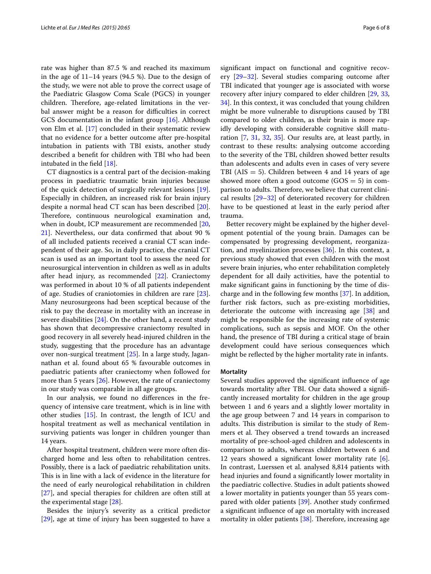rate was higher than 87.5 % and reached its maximum in the age of 11–14 years (94.5 %). Due to the design of the study, we were not able to prove the correct usage of the Paediatric Glasgow Coma Scale (PGCS) in younger children. Therefore, age-related limitations in the verbal answer might be a reason for difficulties in correct GCS documentation in the infant group [[16\]](#page-7-1). Although von Elm et al. [\[17](#page-7-2)] concluded in their systematic review that no evidence for a better outcome after pre-hospital intubation in patients with TBI exists, another study described a benefit for children with TBI who had been intubated in the field [[18\]](#page-7-3).

CT diagnostics is a central part of the decision-making process in paediatric traumatic brain injuries because of the quick detection of surgically relevant lesions [\[19](#page-7-4)]. Especially in children, an increased risk for brain injury despite a normal head CT scan has been described [\[20](#page-7-5)]. Therefore, continuous neurological examination and, when in doubt, ICP measurement are recommended [\[20](#page-7-5), [21\]](#page-7-6). Nevertheless, our data confirmed that about 90 % of all included patients received a cranial CT scan independent of their age. So, in daily practice, the cranial CT scan is used as an important tool to assess the need for neurosurgical intervention in children as well as in adults after head injury, as recommended [\[22](#page-7-7)]. Craniectomy was performed in about 10 % of all patients independent of age. Studies of craniotomies in children are rare [\[23](#page-7-8)]. Many neurosurgeons had been sceptical because of the risk to pay the decrease in mortality with an increase in severe disabilities [\[24\]](#page-7-9). On the other hand, a recent study has shown that decompressive craniectomy resulted in good recovery in all severely head-injured children in the study, suggesting that the procedure has an advantage over non-surgical treatment [\[25](#page-7-10)]. In a large study, Jagannathan et al. found about 65 % favourable outcomes in paediatric patients after craniectomy when followed for more than 5 years [\[26](#page-7-11)]. However, the rate of craniectomy in our study was comparable in all age groups.

In our analysis, we found no differences in the frequency of intensive care treatment, which is in line with other studies [\[15](#page-7-0)]. In contrast, the length of ICU and hospital treatment as well as mechanical ventilation in surviving patients was longer in children younger than 14 years.

After hospital treatment, children were more often discharged home and less often to rehabilitation centres. Possibly, there is a lack of paediatric rehabilitation units. This is in line with a lack of evidence in the literature for the need of early neurological rehabilitation in children [[27\]](#page-7-12), and special therapies for children are often still at the experimental stage [\[28](#page-7-13)].

Besides the injury's severity as a critical predictor [[29\]](#page-7-14), age at time of injury has been suggested to have a

significant impact on functional and cognitive recovery [[29–](#page-7-14)[32](#page-7-15)]. Several studies comparing outcome after TBI indicated that younger age is associated with worse recovery after injury compared to elder children [\[29](#page-7-14), [33](#page-7-16), [34\]](#page-7-17). In this context, it was concluded that young children might be more vulnerable to disruptions caused by TBI compared to older children, as their brain is more rapidly developing with considerable cognitive skill maturation [\[7](#page-6-6), [31,](#page-7-18) [32,](#page-7-15) [35](#page-7-19)]. Our results are, at least partly, in contrast to these results: analysing outcome according to the severity of the TBI, children showed better results than adolescents and adults even in cases of very severe TBI ( $AIS = 5$ ). Children between 4 and 14 years of age showed more often a good outcome  $(GOS = 5)$  in comparison to adults. Therefore, we believe that current clinical results  $[29-32]$  $[29-32]$  of deteriorated recovery for children have to be questioned at least in the early period after trauma.

Better recovery might be explained by the higher development potential of the young brain. Damages can be compensated by progressing development, reorganization, and myelinization processes [\[36](#page-7-20)]. In this context, a previous study showed that even children with the most severe brain injuries, who enter rehabilitation completely dependent for all daily activities, have the potential to make significant gains in functioning by the time of discharge and in the following few months [\[37\]](#page-7-21). In addition, further risk factors, such as pre-existing morbidities, deteriorate the outcome with increasing age [\[38](#page-7-22)] and might be responsible for the increasing rate of systemic complications, such as sepsis and MOF. On the other hand, the presence of TBI during a critical stage of brain development could have serious consequences which might be reflected by the higher mortality rate in infants.

### **Mortality**

Several studies approved the significant influence of age towards mortality after TBI. Our data showed a significantly increased mortality for children in the age group between 1 and 6 years and a slightly lower mortality in the age group between 7 and 14 years in comparison to adults. This distribution is similar to the study of Remmers et al. They observed a trend towards an increased mortality of pre-school-aged children and adolescents in comparison to adults, whereas children between 6 and 12 years showed a significant lower mortality rate  $[6]$  $[6]$ . In contrast, Luerssen et al. analysed 8,814 patients with head injuries and found a significantly lower mortality in the paediatric collective. Studies in adult patients showed a lower mortality in patients younger than 55 years compared with older patients [\[39](#page-7-23)]. Another study confirmed a significant influence of age on mortality with increased mortality in older patients [\[38\]](#page-7-22). Therefore, increasing age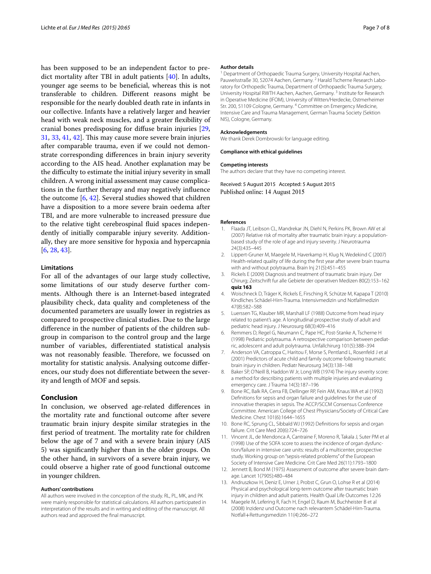has been supposed to be an independent factor to predict mortality after TBI in adult patients [[40\]](#page-7-24). In adults, younger age seems to be beneficial, whereas this is not transferable to children. Different reasons might be responsible for the nearly doubled death rate in infants in our collective. Infants have a relatively larger and heavier head with weak neck muscles, and a greater flexibility of cranial bones predisposing for diffuse brain injuries [\[29](#page-7-14), [31,](#page-7-18) [33](#page-7-16), [41,](#page-7-25) [42\]](#page-7-26). This may cause more severe brain injuries after comparable trauma, even if we could not demonstrate corresponding differences in brain injury severity according to the AIS head. Another explanation may be the difficulty to estimate the initial injury severity in small children. A wrong initial assessment may cause complications in the further therapy and may negatively influence the outcome [[6,](#page-6-5) [42](#page-7-26)]. Several studies showed that children have a disposition to a more severe brain oedema after TBI, and are more vulnerable to increased pressure due to the relative tight cerebrospinal fluid spaces independently of initially comparable injury severity. Additionally, they are more sensitive for hypoxia and hypercapnia [[6,](#page-6-5) [28](#page-7-13), [43\]](#page-7-27).

# **Limitations**

For all of the advantages of our large study collective, some limitations of our study deserve further comments. Although there is an Internet-based integrated plausibility check, data quality and completeness of the documented parameters are usually lower in registries as compared to prospective clinical studies. Due to the large difference in the number of patients of the children subgroup in comparison to the control group and the large number of variables, differentiated statistical analysis was not reasonably feasible. Therefore, we focussed on mortality for statistic analysis. Analysing outcome differences, our study does not differentiate between the severity and length of MOF and sepsis.

# **Conclusion**

In conclusion, we observed age-related differences in the mortality rate and functional outcome after severe traumatic brain injury despite similar strategies in the first period of treatment. The mortality rate for children below the age of 7 and with a severe brain injury (AIS 5) was significantly higher than in the older groups. On the other hand, in survivors of a severe brain injury, we could observe a higher rate of good functional outcome in younger children.

#### **Authors' contributions**

All authors were involved in the conception of the study. RL, PL, MK, and PK were mainly responsible for statistical calculations. All authors participated in interpretation of the results and in writing and editing of the manuscript. All authors read and approved the final manuscript.

#### **Author details**

<sup>1</sup> Department of Orthopaedic Trauma Surgery, University Hospital Aachen, Pauwelsstraße 30, 52074 Aachen, Germany.<sup>2</sup> Harald Tscherne Research Laboratory for Orthopedic Trauma, Department of Orthopaedic Trauma Surgery, University Hospital RWTH Aachen, Aachen, Germany.<sup>3</sup> Institute for Research in Operative Medicine (IFOM), University of Witten/Herdecke, Ostmerheimer Str. 200, 51109 Cologne, Germany. <sup>4</sup> Committee on Emergency Medicine, Intensive Care and Trauma Management, German Trauma Society (Sektion NIS), Cologne, Germany.

#### **Acknowledgements**

We thank Derek Dombrowski for language editing.

**Compliance with ethical guidelines**

#### **Competing interests**

The authors declare that they have no competing interest.

Received: 5 August 2015 Accepted: 5 August 2015 Published online: 14 August 2015

#### **References**

- <span id="page-6-0"></span>1. Flaada JT, Leibson CL, Mandrekar JN, Diehl N, Perkins PK, Brown AW et al (2007) Relative risk of mortality after traumatic brain injury: a populationbased study of the role of age and injury severity. J Neurotrauma 24(3):435–445
- <span id="page-6-1"></span>2. Lippert-Gruner M, Maegele M, Haverkamp H, Klug N, Wedekind C (2007) Health-related quality of life during the first year after severe brain trauma with and without polytrauma. Brain Inj 21(5):451–455
- <span id="page-6-2"></span>3. Rickels E (2009) Diagnosis and treatment of traumatic brain injury. Der Chirurg; Zeitschrift fur alle Gebiete der operativen Medizen 80(2):153–162 **quiz 163**
- <span id="page-6-3"></span>4. Woischneck D, Träger K, Rickels E, Firsching R, Schütze M, Kapapa T (2010) Kindliches Schädel-Hirn-Trauma. Intensivmedizin und Notfallmedizin 47(8):582–588
- <span id="page-6-4"></span>5. Luerssen TG, Klauber MR, Marshall LF (1988) Outcome from head injury related to patient's age. A longitudinal prospective study of adult and pediatric head injury. J Neurosurg 68(3):409–416
- <span id="page-6-5"></span>Remmers D, Regel G, Neumann C, Pape HC, Post-Stanke A, Tscherne H (1998) Pediatric polytrauma. A retrospective comparison between pediat‑ ric, adolescent and adult polytrauma. Unfallchirurg 101(5):388–394
- <span id="page-6-6"></span>7. Anderson VA, Catroppa C, Haritou F, Morse S, Pentland L, Rosenfeld J et al (2001) Predictors of acute child and family outcome following traumatic brain injury in children. Pediatr Neurosurg 34(3):138–148
- <span id="page-6-7"></span>8. Baker SP, O'Neill B, Haddon W Jr, Long WB (1974) The injury severity score: a method for describing patients with multiple injuries and evaluating emergency care. J Trauma 14(3):187–196
- <span id="page-6-8"></span>9. Bone RC, Balk RA, Cerra FB, Dellinger RP, Fein AM, Knaus WA et al (1992) Definitions for sepsis and organ failure and guidelines for the use of innovative therapies in sepsis. The ACCP/SCCM Consensus Conference Committee. American College of Chest Physicians/Society of Critical Care Medicine. Chest 101(6):1644–1655
- <span id="page-6-9"></span>10. Bone RC, Sprung CL, Sibbald WJ (1992) Definitions for sepsis and organ failure. Crit Care Med 20(6):724–726
- <span id="page-6-10"></span>11. Vincent JL, de Mendonca A, Cantraine F, Moreno R, Takala J, Suter PM et al (1998) Use of the SOFA score to assess the incidence of organ dysfunction/failure in intensive care units: results of a multicenter, prospective study. Working group on "sepsis-related problems" of the European Society of Intensive Care Medicine. Crit Care Med 26(11):1793–1800
- <span id="page-6-11"></span>12. Jennett B, Bond M (1975) Assessment of outcome after severe brain damage. Lancet 1(7905):480–484
- <span id="page-6-12"></span>13. Andruszkow H, Deniz E, Urner J, Probst C, Grun O, Lohse R et al (2014) Physical and psychological long-term outcome after traumatic brain injury in children and adult patients. Health Qual Life Outcomes 12:26
- <span id="page-6-13"></span>14. Maegele M, Lefering R, Fach H, Engel D, Raum M, Buchheister B et al (2008) Inzidenz und Outcome nach relevantem Schädel-Hirn-Trauma. Notfall+Rettungsmedizin 11(4):266–272